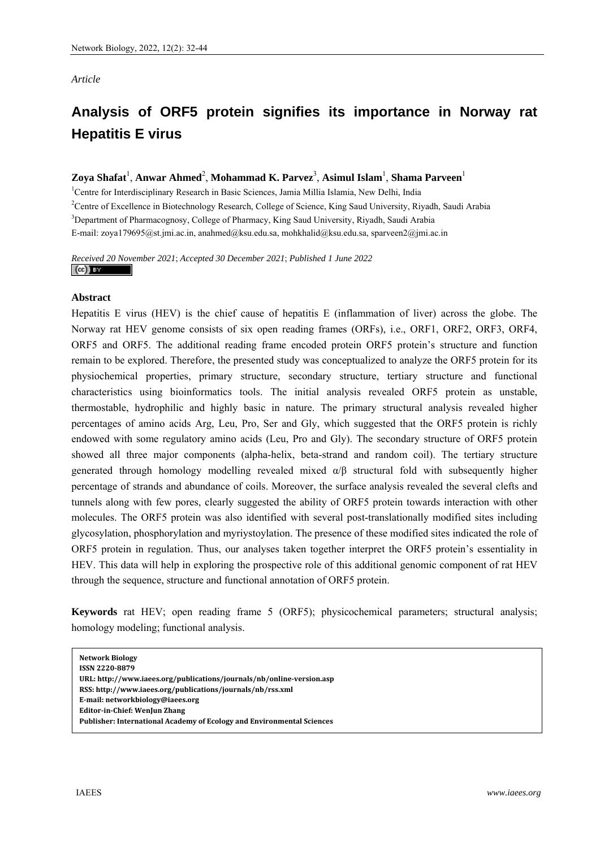## *Article*

# **Analysis of ORF5 protein signifies its importance in Norway rat Hepatitis E virus**

## $\chi$ **Zoya Shafat<sup>1</sup>, Anwar Ahmed<sup>2</sup>, Mohammad K. Parvez<sup>3</sup>, Asimul Islam<sup>1</sup>, Shama Parveen<sup>1</sup>**

<sup>1</sup>Centre for Interdisciplinary Research in Basic Sciences, Jamia Millia Islamia, New Delhi, India 2 Centre of Excellence in Biotechnology Research, College of Science, King Saud University, Riyadh, Saudi Arabia <sup>3</sup>Department of Pharmacognosy, College of Pharmacy, King Saud University, Riyadh, Saudi Arabia E-mail: zoya179695@st.jmi.ac.in, anahmed@ksu.edu.sa, mohkhalid@ksu.edu.sa, sparveen2@jmi.ac.in

#### *Received 20 November 2021*; *Accepted 30 December 2021*; *Published 1 June 2022*   $\left(\mathrm{cc}\right)$  BY

### **Abstract**

Hepatitis E virus (HEV) is the chief cause of hepatitis E (inflammation of liver) across the globe. The Norway rat HEV genome consists of six open reading frames (ORFs), i.e., ORF1, ORF2, ORF3, ORF4, ORF5 and ORF5. The additional reading frame encoded protein ORF5 protein's structure and function remain to be explored. Therefore, the presented study was conceptualized to analyze the ORF5 protein for its physiochemical properties, primary structure, secondary structure, tertiary structure and functional characteristics using bioinformatics tools. The initial analysis revealed ORF5 protein as unstable, thermostable, hydrophilic and highly basic in nature. The primary structural analysis revealed higher percentages of amino acids Arg, Leu, Pro, Ser and Gly, which suggested that the ORF5 protein is richly endowed with some regulatory amino acids (Leu, Pro and Gly). The secondary structure of ORF5 protein showed all three major components (alpha-helix, beta-strand and random coil). The tertiary structure generated through homology modelling revealed mixed  $\alpha/\beta$  structural fold with subsequently higher percentage of strands and abundance of coils. Moreover, the surface analysis revealed the several clefts and tunnels along with few pores, clearly suggested the ability of ORF5 protein towards interaction with other molecules. The ORF5 protein was also identified with several post-translationally modified sites including glycosylation, phosphorylation and myriystoylation. The presence of these modified sites indicated the role of ORF5 protein in regulation. Thus, our analyses taken together interpret the ORF5 protein's essentiality in HEV. This data will help in exploring the prospective role of this additional genomic component of rat HEV through the sequence, structure and functional annotation of ORF5 protein.

**Keywords** rat HEV; open reading frame 5 (ORF5); physicochemical parameters; structural analysis; homology modeling; functional analysis.

| <b>Network Biology</b>                                                 |
|------------------------------------------------------------------------|
| <b>ISSN 2220-8879</b>                                                  |
| URL: http://www.iaees.org/publications/journals/nb/online-version.asp  |
| RSS: http://www.iaees.org/publications/journals/nb/rss.xml             |
| E-mail: networkbiology@iaees.org                                       |
| Editor-in-Chief: WenJun Zhang                                          |
| Publisher: International Academy of Ecology and Environmental Sciences |
|                                                                        |